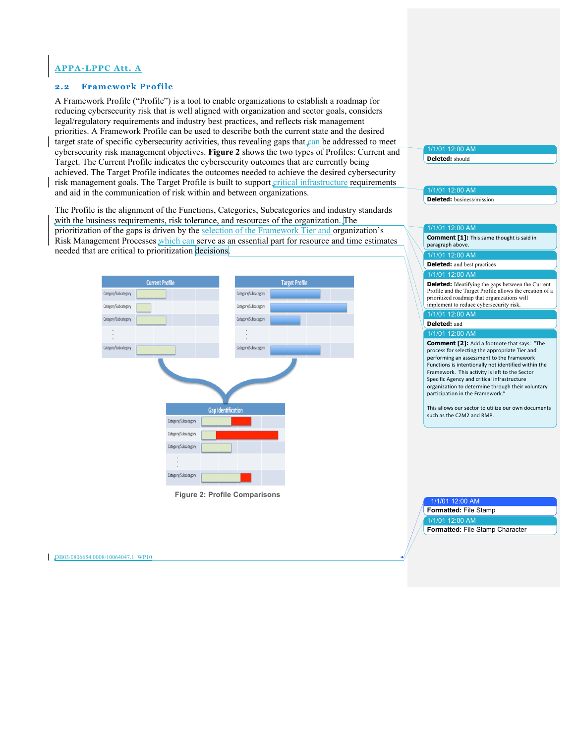## **APPA-LPPC Att. A**

## **2.2 Framework Profile**

A Framework Profile ("Profile") is a tool to enable organizations to establish a roadmap for reducing cybersecurity risk that is well aligned with organization and sector goals, considers legal/regulatory requirements and industry best practices, and reflects risk management priorities. A Framework Profile can be used to describe both the current state and the desired target state of specific cybersecurity activities, thus revealing gaps that can be addressed to meet cybersecurity risk management objectives. **Figure 2** shows the two types of Profiles: Current and Target. The Current Profile indicates the cybersecurity outcomes that are currently being achieved. The Target Profile indicates the outcomes needed to achieve the desired cybersecurity risk management goals. The Target Profile is built to support critical infrastructure requirements and aid in the communication of risk within and between organizations.

The Profile is the alignment of the Functions, Categories, Subcategories and industry standards with the business requirements, risk tolerance, and resources of the organization. The prioritization of the gaps is driven by the selection of the Framework Tier and organization's Risk Management Processes *which can serve as an essential part for resource and time estimates* needed that are critical to prioritization decisions.



 **Figure 2: Profile Comparisons** 

## 1/1/01 12:00 AM

**Deleted:** should

# 1/1/01 12:00 AM

**Deleted:** business/mission

### 1/1/01 12:00 AM

 1/1/01 12:00 AM  **Comment [1]:** This same thought is said in paragraph above.

**Deleted:** and best practices

#### 1/1/01 12:00 AM

 **Deleted:** Identifying the gaps between the Current Profile and the Target Profile allows the creation of a prioritized roadmap that organizations will implement to reduce cybersecurity risk.

#### 1/1/01 12:00 AM **Deleted:** and

1/1/01 12:00 AM

 **Comment [2]:** Add a footnote that says: "The process for selecting the appropriate Tier and performing an assessment to the Framework Functions is intentionally not identified within the Framework. This activity is left to the Sector Specific Agency and critical infrastructure organization to determine through their voluntary participation in the Framework."

This allows our sector to utilize our own documents such as the C2M2 and RMP.

1/1/01 12:00 AM

**Formatted:** File Stamp

1/1/01 12:00 AM

**Formatted:** File Stamp Character

DB03/0806654.0008/10064047.1 WP10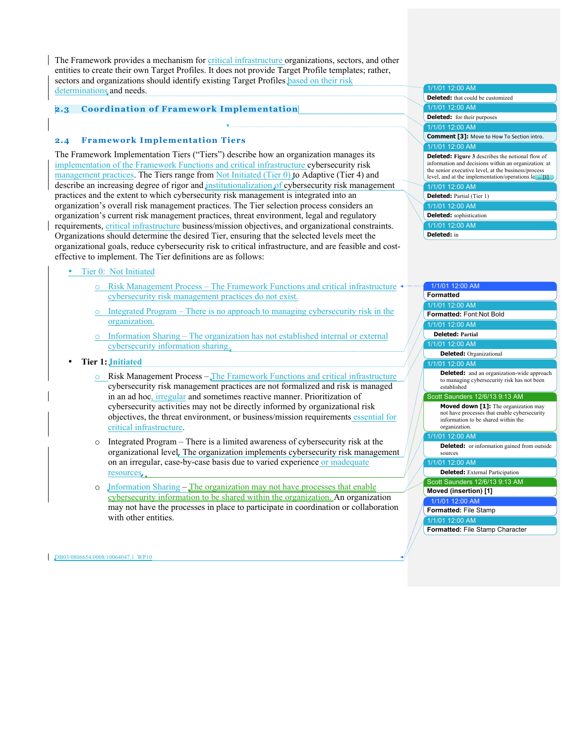The Framework provides a mechanism for critical infrastructure organizations, sectors, and other entities to create their own Target Profiles. It does not provide Target Profile templates; rather, sectors and organizations should identify existing Target Profiles based on their risk determinations and needs.

## **2.3 Coordination of Framework Implementation**

## **2.4 Framework Implementation Tiers**

The Framework Implementation Tiers ("Tiers") describe how an organization manages its implementation of the Framework Functions and critical infrastructure cybersecurity risk management practices. The Tiers range from Not Initiated (Tier 0) to Adaptive (Tier 4) and describe an increasing degree of rigor and institutionalization of cybersecurity risk management practices and the extent to which cybersecurity risk management is integrated into an organization's overall risk management practices. The Tier selection process considers an organization's current risk management practices, threat environment, legal and regulatory requirements, critical infrastructure business/mission objectives, and organizational constraints. Organizations should determine the desired Tier, ensuring that the selected levels meet the organizational goals, reduce cybersecurity risk to critical infrastructure, and are feasible and costeffective to implement. The Tier definitions are as follows:

- Tier 0: Not Initiated
	- $\circ$  Risk Management Process The Framework Functions and critical infrastructure cybersecurity risk management practices do not exist.
	- $\circ$  Integrated Program There is no approach to managing cybersecurity risk in the organization.
	- o Information Sharing The organization has not established internal or external cybersecurity information sharing.

**Tier 1: Initiated** 

- o Risk Management Process The Framework Functions and critical infrastructure cybersecurity risk management practices are not formalized and risk is managed in an ad hoc, irregular and sometimes reactive manner. Prioritization of cybersecurity activities may not be directly informed by organizational risk objectives, the threat environment, or business/mission requirements essential for critical infrastructure.
- $\circ$  Integrated Program There is a limited awareness of cybersecurity risk at the organizational level. The organization implements cybersecurity risk management on an irregular, case-by-case basis due to varied experience or inadequate resources.
- $\circ$  Jnformation Sharing The organization may not have processes that enable cybersecurity information to be shared within the organization. An organization may not have the processes in place to participate in coordination or collaboration with other entities.

 1/1/01 12:00 AM 1/1/01 12:00 AM **Deleted:** for their purposes 1/1/01 12:00 AM  **Comment [3]:** Move to How To Section intro. 1/1/01 12:00 AM **Deleted: Figure 3** describes the notional flow of information and decisions within an organization: at 1/1/01 12:00 AM **Deleted:** Partial (Tier 1) 1/1/01 12:00 AM 1/1/01 12:00 AM **Deleted:** that could be customized the senior executive level, at the business/process level, and at the implementation/operations  $\mathbf{e}$  ... [1] **Deleted:** sophistication **Deleted:** in

| 1/1/01 12:00 AM                                                                                                                                     |
|-----------------------------------------------------------------------------------------------------------------------------------------------------|
| <b>Formatted</b>                                                                                                                                    |
| 1/1/01 12:00 AM                                                                                                                                     |
| Formatted: Font:Not Bold                                                                                                                            |
| 1/1/01 12:00 AM                                                                                                                                     |
| <b>Deleted: Partial</b>                                                                                                                             |
| 1/1/01 12:00 AM                                                                                                                                     |
| <b>Deleted:</b> Organizational                                                                                                                      |
| 1/1/01 12:00 AM                                                                                                                                     |
| <b>Deleted:</b> and an organization-wide approach<br>to managing cybersecurity risk has not been<br>established                                     |
| Scott Saunders 12/6/13 9:13 AM                                                                                                                      |
| <b>Moved down [1]:</b> The organization may<br>not have processes that enable cybersecurity<br>information to be shared within the<br>organization. |
| 1/1/01 12:00 AM                                                                                                                                     |
| <b>Deleted:</b> or information gained from outside<br>sources                                                                                       |
| 1/1/01 12:00 AM                                                                                                                                     |
| <b>Deleted:</b> External Participation                                                                                                              |
| Scott Saunders 12/6/13 9:13 AM                                                                                                                      |
| Moved (insertion) [1]                                                                                                                               |
| 1/1/01 12:00 AM                                                                                                                                     |
| Formatted: File Stamp                                                                                                                               |
| 1/1/01 12:00 AM                                                                                                                                     |
| <b>Formatted: File Stamp Character</b>                                                                                                              |
|                                                                                                                                                     |

DB03/0806654.0008/10064047.1 WP10